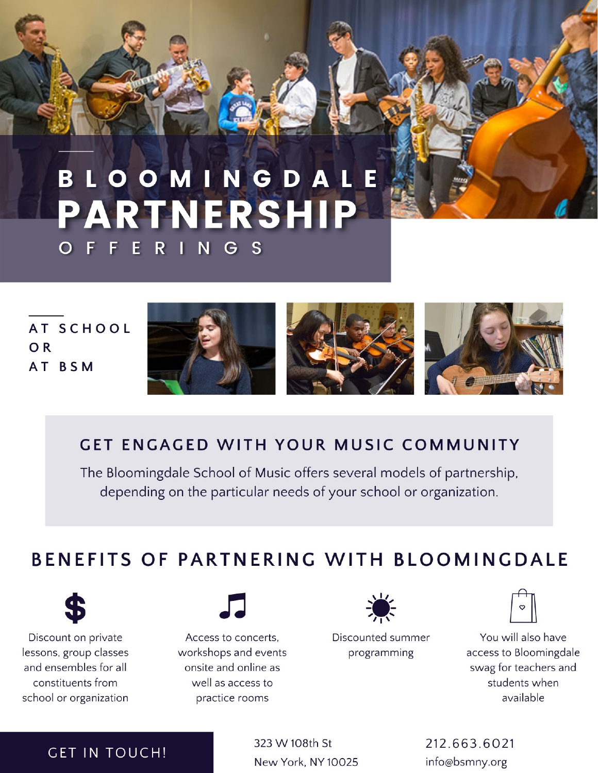## BLOOMINGDALE PARTNERSHIP ERINGS Е

AT SCHOOL OR AT BSM







## **GET ENGAGED WITH YOUR MUSIC COMMUNITY**

The Bloomingdale School of Music offers several models of partnership, depending on the particular needs of your school or organization.

# BENEFITS OF PARTNERING WITH BLOOMINGDALE



Discount on private lessons, group classes and ensembles for all constituents from school or organization



Access to concerts, workshops and events onsite and online as well as access to practice rooms



Discounted summer programming



You will also have access to Bloomingdale swag for teachers and students when available

### **GET IN TOUCH!**

323 W 108th St New York, NY 10025 212.663.6021 info@bsmny.org